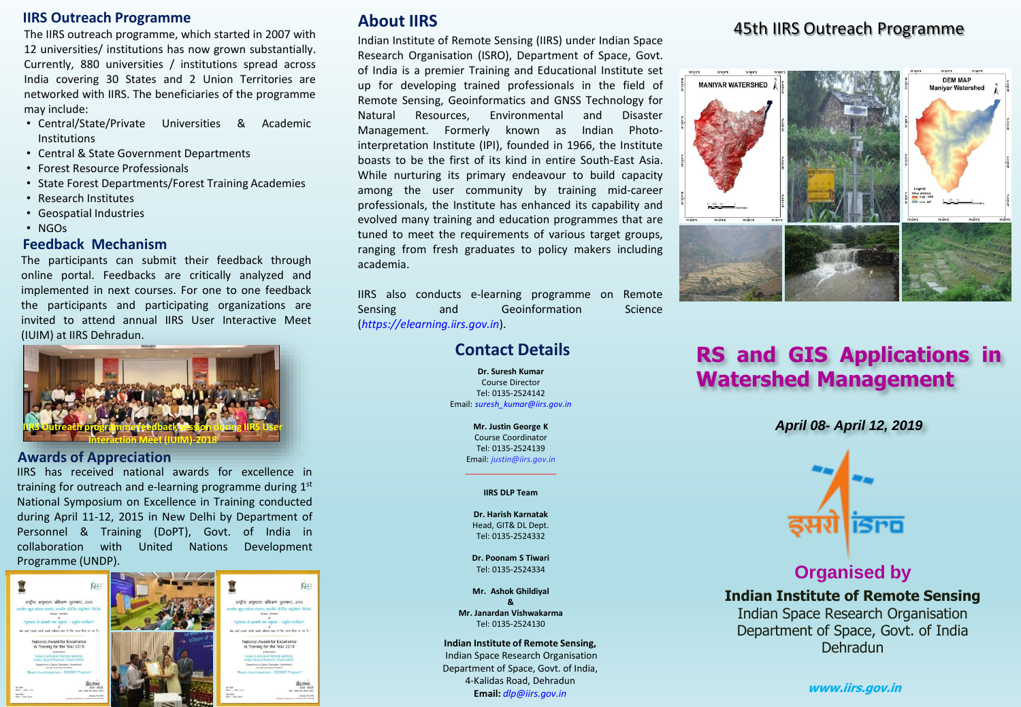#### **IIRS Outreach Programme**

The IIRS outreach programme, which started in 2007 with 12 universities/ institutions has now grown substantially. Currently, 880 universities / institutions spread across India covering 30 States and 2 Union Territories are networked with IIRS. The beneficiaries of the programme may include:

- Central/State/Private Universities & Academic Institutions
- Central & State Government Departments
- Forest Resource Professionals
- State Forest Departments/Forest Training Academies
- Research Institutes
- Geospatial Industries
- NGOs

#### **Feedback Mechanism**

The participants can submit their feedback through online portal. Feedbacks are critically analyzed and implemented in next courses. For one to one feedback the participants and participating organizations are invited to attend annual IIRS User Interactive Meet (IUIM) at IIRS Dehradun.



#### **Awards of Appreciation**

IIRS has received national awards for excellence in training for outreach and e-learning programme during 1st National Symposium on Excellence in Training conducted during April 11-12, 2015 in New Delhi by Department of Personnel & Training (DoPT), Govt. of India in collaboration with United Nations Development Programme (UNDP).



# **About IIRS**

Indian Institute of Remote Sensing (IIRS) under Indian Space Research Organisation (ISRO), Department of Space, Govt. of India is a premier Training and Educational Institute set up for developing trained professionals in the field of Remote Sensing, Geoinformatics and GNSS Technology for Natural Resources, Environmental and Disaster Management. Formerly known as Indian Photointerpretation Institute (IPI), founded in 1966, the Institute boasts to be the first of its kind in entire South-East Asia. While nurturing its primary endeavour to build capacity among the user community by training mid-career professionals, the Institute has enhanced its capability and evolved many training and education programmes that are tuned to meet the requirements of various target groups, ranging from fresh graduates to policy makers including academia.

IIRS also conducts e-learning programme on Remote Sensing and Geoinformation Science (*https://elearning.iirs.gov.in*).

# **Contact Details**

**Dr. Suresh Kumar** Course Director Tel: 0135-2524142 Email: *suresh\_kumar@iirs.gov.in*

> **Mr. Justin George K** Course Coordinator Tel: 0135-2524139 Email: *justin@iirs.gov.in*

# \_\_\_\_\_\_\_\_\_\_\_\_\_\_\_\_\_\_\_\_ **IIRS DLP Team**

**Dr. Harish Karnatak** Head, GIT& DL Dept. Tel: 0135-2524332

**Dr. Poonam S Tiwari** Tel: 0135-2524334

**Mr. Ashok Ghildiyal & Mr. Janardan Vishwakarma** Tel: 0135-2524130

**Indian Institute of Remote Sensing,** Indian Space Research Organisation Department of Space, Govt. of India, 4-Kalidas Road, Dehradun **Email:** *dlp@iirs.gov.in*

# 45th IIRS Outreach Programme



# **RS and GIS Applications in Watershed Management**

*April 08- April 12, 2019*



# **Organised by**

**Indian Institute of Remote Sensing** Indian Space Research Organisation Department of Space, Govt. of India Dehradun

**www.iirs.gov.in**